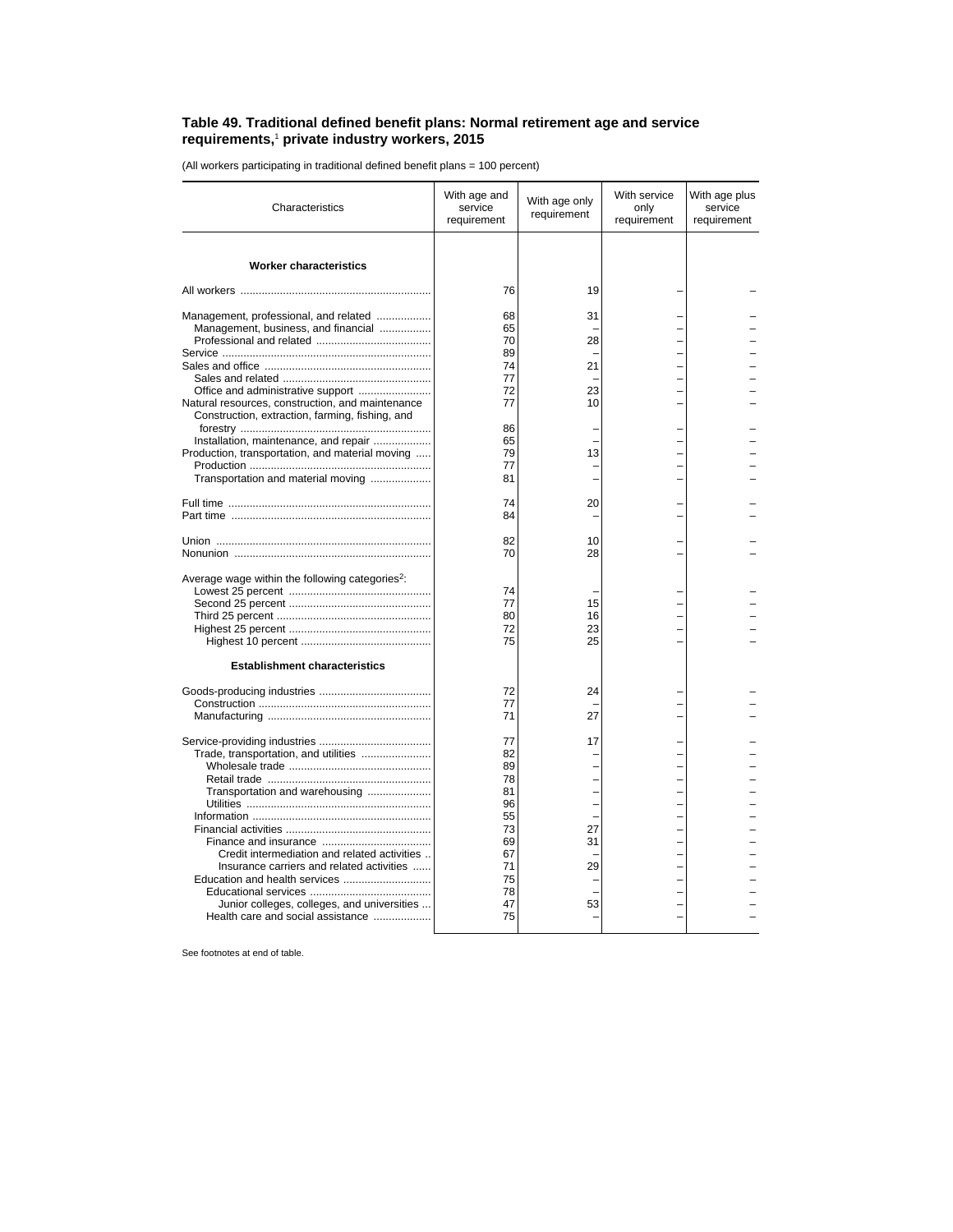## **Table 49. Traditional defined benefit plans: Normal retirement age and service requirements,**<sup>1</sup>  **private industry workers, 2015**

(All workers participating in traditional defined benefit plans = 100 percent)

| Characteristics                                                                                     | With age and<br>service<br>requirement | With age only<br>requirement | With service<br>only<br>requirement | With age plus<br>service<br>requirement |
|-----------------------------------------------------------------------------------------------------|----------------------------------------|------------------------------|-------------------------------------|-----------------------------------------|
| <b>Worker characteristics</b>                                                                       |                                        |                              |                                     |                                         |
|                                                                                                     | 76                                     | 19                           |                                     |                                         |
| Management, professional, and related                                                               | 68                                     | 31                           |                                     |                                         |
| Management, business, and financial                                                                 | 65                                     |                              |                                     |                                         |
|                                                                                                     | 70                                     | 28                           |                                     |                                         |
|                                                                                                     | 89                                     |                              |                                     |                                         |
|                                                                                                     | 74                                     | 21                           |                                     |                                         |
|                                                                                                     | 77                                     |                              |                                     |                                         |
| Office and administrative support                                                                   | 72<br>77                               | 23<br>10                     |                                     |                                         |
| Natural resources, construction, and maintenance<br>Construction, extraction, farming, fishing, and | 86                                     |                              |                                     |                                         |
| Installation, maintenance, and repair                                                               | 65                                     |                              |                                     |                                         |
| Production, transportation, and material moving                                                     | 79                                     | 13                           |                                     |                                         |
|                                                                                                     | 77                                     | L,                           |                                     |                                         |
| Transportation and material moving                                                                  | 81                                     |                              |                                     |                                         |
|                                                                                                     | 74                                     | 20                           |                                     |                                         |
|                                                                                                     | 84                                     |                              |                                     |                                         |
|                                                                                                     | 82                                     | 10                           |                                     |                                         |
|                                                                                                     | 70                                     | 28                           |                                     |                                         |
| Average wage within the following categories <sup>2</sup> :                                         |                                        |                              |                                     |                                         |
|                                                                                                     | 74                                     |                              |                                     |                                         |
|                                                                                                     | 77                                     | 15                           |                                     |                                         |
|                                                                                                     | 80                                     | 16                           |                                     |                                         |
|                                                                                                     | 72                                     | 23                           |                                     |                                         |
|                                                                                                     | 75                                     | 25                           |                                     |                                         |
| <b>Establishment characteristics</b>                                                                |                                        |                              |                                     |                                         |
|                                                                                                     | 72                                     | 24                           |                                     |                                         |
|                                                                                                     | 77                                     |                              |                                     |                                         |
|                                                                                                     | 71                                     | 27                           |                                     |                                         |
|                                                                                                     | 77                                     | 17                           |                                     |                                         |
| Trade, transportation, and utilities                                                                | 82                                     |                              |                                     |                                         |
|                                                                                                     | 89                                     |                              |                                     |                                         |
|                                                                                                     | 78                                     |                              |                                     |                                         |
| Transportation and warehousing                                                                      | 81                                     |                              |                                     |                                         |
|                                                                                                     | 96                                     |                              |                                     |                                         |
|                                                                                                     | 55<br>73                               | 27                           |                                     |                                         |
|                                                                                                     | 69                                     | 31                           |                                     |                                         |
| Credit intermediation and related activities                                                        | 67                                     |                              |                                     |                                         |
| Insurance carriers and related activities                                                           | 71                                     | 29                           |                                     |                                         |
|                                                                                                     | 75                                     |                              |                                     |                                         |
|                                                                                                     | 78                                     |                              |                                     |                                         |
| Junior colleges, colleges, and universities                                                         | 47                                     | 53                           |                                     |                                         |
| Health care and social assistance                                                                   | 75                                     |                              |                                     |                                         |

See footnotes at end of table.